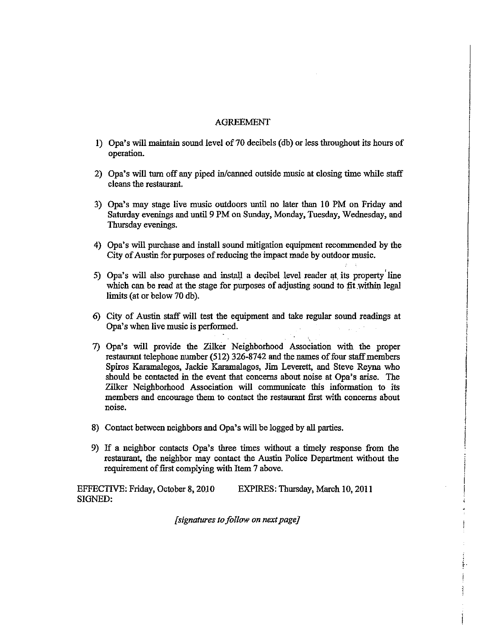## AGREEMENT

- 1) Opa's will maintain sound level of 70 decibels (db) or less throughout its hours of operation.
- 2) Opa's will turn off any piped in/canned outside music at closing time while staff cleans the restaurant.
- 3) Opa's may stage live music outdoors until no later than 10 PM on Friday and Saturday evenings and until 9 PM on Sunday, Monday, Tuesday, Wednesday, and Thursday evenings.
- 4) Opa's will purchase and install sound mitigation equipment recommended by the City of Austin for purposes of reducing the impact made by outdoor music.
- $5)$  Opa's will also purchase and install a decibel level reader at its property line which can be read at the stage for purposes of adjusting sound to fit within legal limits (at or below 70 db).
- 6) City of Austin staff will test the equipment and take regular sound readings at Opa's when live music is performed.
- ., 7) Opa's will provide the Zilker Neighborhood Association with the proper restaurant telephone number (512) 326-8742 and the names of four staff members Spiros Karamalegos, Jackie Karamalagos, Jim Leverett, and Steve Reyna who should be contacted in the event that concerns about noise at Opa's arise. The Zilker Neighborhood Association will communicate this information to its members and encourage them to contact the restaurant first with concerns about noise.

 $\begin{picture}(220,20) \put(0,0){\dashbox{0.5}(20,2){ }} \put(15,0){\dashbox{0.5}(20,2){ }} \put(15,0){\dashbox{0.5}(20,2){ }} \put(15,0){\dashbox{0.5}(20,2){ }} \put(15,0){\dashbox{0.5}(20,2){ }} \put(15,0){\dashbox{0.5}(20,2){ }} \put(15,0){\dashbox{0.5}(20,2){ }} \put(15,0){\dashbox{0.5}(20,2){ }} \put(15,0){\dashbox{0.5}(20,2){ }} \put(15,0){\dashbox$ j

I j

 $\vdots$ 

t·

- 8) Contact between neighbors and Opa's will be logged by all parties.
- 9) If a neighbor contacts Opa's three times without a timely response from the restaurant, the neighbor may contact the Austin Police Department without the requirement of first complying with Item 7 above.

EFFECTIVE: Friday, October 8, 2010 SIGNED: EXPIRES: Thursday, March 10,2011

*[signatures to folluw on next page]*